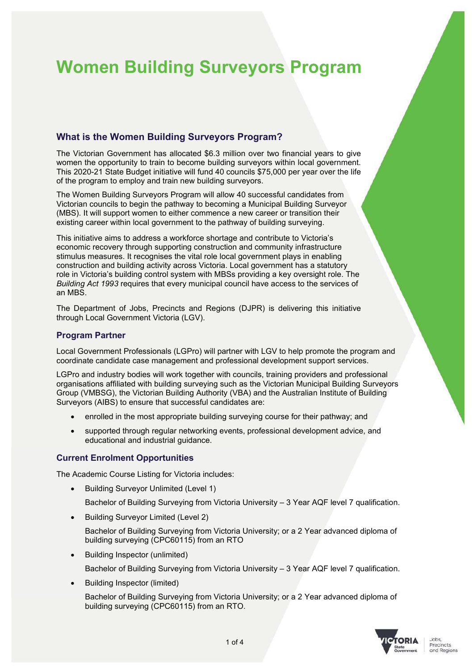# **Women Building Surveyors Program**

# **What is the Women Building Surveyors Program?**

The Victorian Government has allocated \$6.3 million over two financial years to give women the opportunity to train to become building surveyors within local government. This 2020-21 State Budget initiative will fund 40 councils \$75,000 per year over the life of the program to employ and train new building surveyors.

The Women Building Surveyors Program will allow 40 successful candidates from Victorian councils to begin the pathway to becoming a Municipal Building Surveyor (MBS). It will support women to either commence a new career or transition their existing career within local government to the pathway of building surveying.

This initiative aims to address a workforce shortage and contribute to Victoria's economic recovery through supporting construction and community infrastructure stimulus measures. It recognises the vital role local government plays in enabling construction and building activity across Victoria. Local government has a statutory role in Victoria's building control system with MBSs providing a key oversight role. The *Building Act 1993* requires that every municipal council have access to the services of an MBS.

The Department of Jobs, Precincts and Regions (DJPR) is delivering this initiative through Local Government Victoria (LGV).

## **Program Partner**

Local Government Professionals (LGPro) will partner with LGV to help promote the program and coordinate candidate case management and professional development support services.

LGPro and industry bodies will work together with councils, training providers and professional organisations affiliated with building surveying such as the Victorian Municipal Building Surveyors Group (VMBSG), the Victorian Building Authority (VBA) and the Australian Institute of Building Surveyors (AIBS) to ensure that successful candidates are:

- enrolled in the most appropriate building surveying course for their pathway; and
- supported through regular networking events, professional development advice, and educational and industrial guidance.

## **Current Enrolment Opportunities**

The Academic Course Listing for Victoria includes:

• Building Surveyor Unlimited (Level 1)

Bachelor of Building Surveying from Victoria University – 3 Year AQF level 7 qualification.

• Building Surveyor Limited (Level 2)

 Bachelor of Building Surveying from Victoria University; or a 2 Year advanced diploma of building surveying (CPC60115) from an RTO

Building Inspector (unlimited)

Bachelor of Building Surveying from Victoria University – 3 Year AQF level 7 qualification.

Building Inspector (limited)

 Bachelor of Building Surveying from Victoria University; or a 2 Year advanced diploma of building surveying (CPC60115) from an RTO.

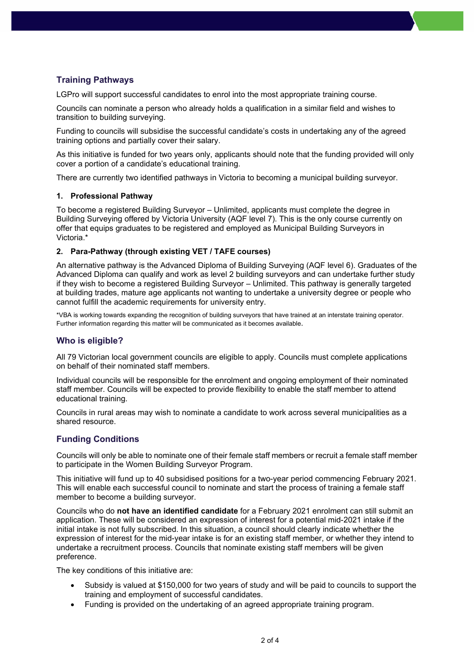# **Training Pathways**

LGPro will support successful candidates to enrol into the most appropriate training course.

Councils can nominate a person who already holds a qualification in a similar field and wishes to transition to building surveying.

Funding to councils will subsidise the successful candidate's costs in undertaking any of the agreed training options and partially cover their salary.

As this initiative is funded for two years only, applicants should note that the funding provided will only cover a portion of a candidate's educational training.

There are currently two identified pathways in Victoria to becoming a municipal building surveyor.

## **1. Professional Pathway**

To become a registered Building Surveyor – Unlimited, applicants must complete the degree in Building Surveying offered by Victoria University (AQF level 7). This is the only course currently on offer that equips graduates to be registered and employed as Municipal Building Surveyors in Victoria.\*

## **2. Para-Pathway (through existing VET / TAFE courses)**

An alternative pathway is the Advanced Diploma of Building Surveying (AQF level 6). Graduates of the Advanced Diploma can qualify and work as level 2 building surveyors and can undertake further study if they wish to become a registered Building Surveyor – Unlimited. This pathway is generally targeted at building trades, mature age applicants not wanting to undertake a university degree or people who cannot fulfill the academic requirements for university entry.

\*VBA is working towards expanding the recognition of building surveyors that have trained at an interstate training operator. Further information regarding this matter will be communicated as it becomes available.

## **Who is eligible?**

All 79 Victorian local government councils are eligible to apply. Councils must complete applications on behalf of their nominated staff members.

Individual councils will be responsible for the enrolment and ongoing employment of their nominated staff member. Councils will be expected to provide flexibility to enable the staff member to attend educational training.

Councils in rural areas may wish to nominate a candidate to work across several municipalities as a shared resource.

## **Funding Conditions**

Councils will only be able to nominate one of their female staff members or recruit a female staff member to participate in the Women Building Surveyor Program.

This initiative will fund up to 40 subsidised positions for a two-year period commencing February 2021. This will enable each successful council to nominate and start the process of training a female staff member to become a building surveyor.

Councils who do **not have an identified candidate** for a February 2021 enrolment can still submit an application. These will be considered an expression of interest for a potential mid-2021 intake if the initial intake is not fully subscribed. In this situation, a council should clearly indicate whether the expression of interest for the mid-year intake is for an existing staff member, or whether they intend to undertake a recruitment process. Councils that nominate existing staff members will be given preference.

The key conditions of this initiative are:

- Subsidy is valued at \$150,000 for two years of study and will be paid to councils to support the training and employment of successful candidates.
- Funding is provided on the undertaking of an agreed appropriate training program.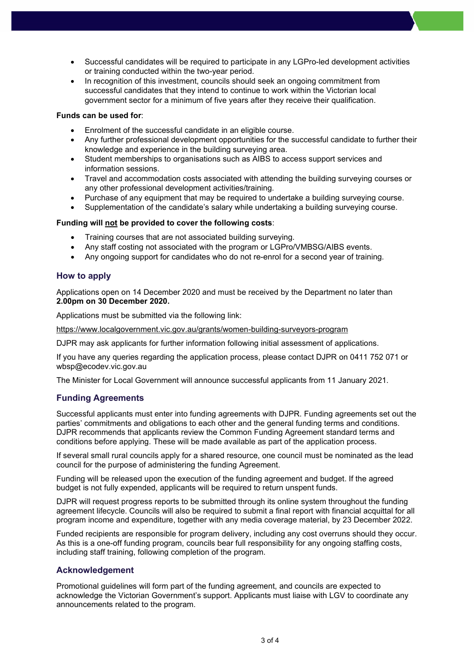- Successful candidates will be required to participate in any LGPro-led development activities or training conducted within the two-year period.
- In recognition of this investment, councils should seek an ongoing commitment from successful candidates that they intend to continue to work within the Victorian local government sector for a minimum of five years after they receive their qualification.

#### **Funds can be used for**:

- Enrolment of the successful candidate in an eligible course.
- Any further professional development opportunities for the successful candidate to further their knowledge and experience in the building surveying area.
- Student memberships to organisations such as AIBS to access support services and information sessions.
- Travel and accommodation costs associated with attending the building surveying courses or any other professional development activities/training.
- Purchase of any equipment that may be required to undertake a building surveying course.
- Supplementation of the candidate's salary while undertaking a building surveying course.

#### **Funding will not be provided to cover the following costs**:

- Training courses that are not associated building surveying.
- Any staff costing not associated with the program or LGPro/VMBSG/AIBS events.
- Any ongoing support for candidates who do not re-enrol for a second year of training.

#### **How to apply**

Applications open on 14 December 2020 and must be received by the Department no later than **2.00pm on 30 December 2020.**

Applications must be submitted via the following link:

https://www.localgovernment.vic.gov.au/grants/women-building-surveyors-program

DJPR may ask applicants for further information following initial assessment of applications.

If you have any queries regarding the application process, please contact DJPR on 0411 752 071 or wbsp@ecodev.vic.gov.au

The Minister for Local Government will announce successful applicants from 11 January 2021.

## **Funding Agreements**

Successful applicants must enter into funding agreements with DJPR. Funding agreements set out the parties' commitments and obligations to each other and the general funding terms and conditions. DJPR recommends that applicants review the Common Funding Agreement standard terms and conditions before applying. These will be made available as part of the application process.

If several small rural councils apply for a shared resource, one council must be nominated as the lead council for the purpose of administering the funding Agreement.

Funding will be released upon the execution of the funding agreement and budget. If the agreed budget is not fully expended, applicants will be required to return unspent funds.

DJPR will request progress reports to be submitted through its online system throughout the funding agreement lifecycle. Councils will also be required to submit a final report with financial acquittal for all program income and expenditure, together with any media coverage material, by 23 December 2022.

Funded recipients are responsible for program delivery, including any cost overruns should they occur. As this is a one-off funding program, councils bear full responsibility for any ongoing staffing costs, including staff training, following completion of the program.

## **Acknowledgement**

Promotional guidelines will form part of the funding agreement, and councils are expected to acknowledge the Victorian Government's support. Applicants must liaise with LGV to coordinate any announcements related to the program.